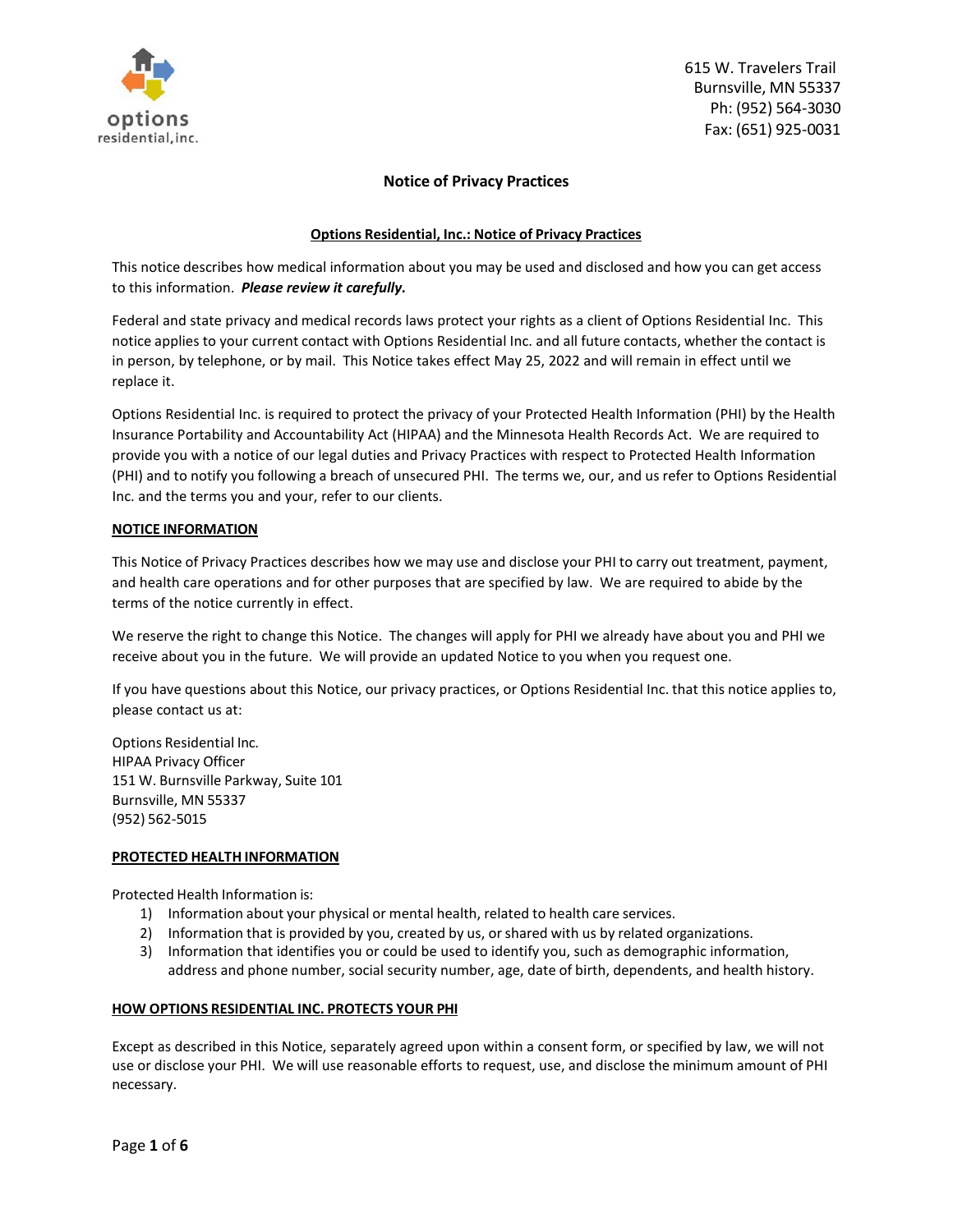

## **Notice of Privacy Practices**

### **Options Residential, Inc.: Notice of Privacy Practices**

This notice describes how medical information about you may be used and disclosed and how you can get access to this information. *Please review it carefully.*

Federal and state privacy and medical records laws protect your rights as a client of Options Residential Inc. This notice applies to your current contact with Options Residential Inc. and all future contacts, whether the contact is in person, by telephone, or by mail. This Notice takes effect May 25, 2022 and will remain in effect until we replace it.

Options Residential Inc. is required to protect the privacy of your Protected Health Information (PHI) by the Health Insurance Portability and Accountability Act (HIPAA) and the Minnesota Health Records Act. We are required to provide you with a notice of our legal duties and Privacy Practices with respect to Protected Health Information (PHI) and to notify you following a breach of unsecured PHI. The terms we, our, and us refer to Options Residential Inc. and the terms you and your, refer to our clients.

### **NOTICE INFORMATION**

This Notice of Privacy Practices describes how we may use and disclose your PHI to carry out treatment, payment, and health care operations and for other purposes that are specified by law. We are required to abide by the terms of the notice currently in effect.

We reserve the right to change this Notice. The changes will apply for PHI we already have about you and PHI we receive about you in the future. We will provide an updated Notice to you when you request one.

If you have questions about this Notice, our privacy practices, or Options Residential Inc. that this notice applies to, please contact us at:

Options Residential Inc. HIPAA Privacy Officer 151 W. Burnsville Parkway, Suite 101 Burnsville, MN 55337 (952) 562-5015

#### **PROTECTED HEALTH INFORMATION**

Protected Health Information is:

- 1) Information about your physical or mental health, related to health care services.
- 2) Information that is provided by you, created by us, or shared with us by related organizations.
- 3) Information that identifies you or could be used to identify you, such as demographic information, address and phone number, social security number, age, date of birth, dependents, and health history.

## **HOW OPTIONS RESIDENTIAL INC. PROTECTS YOUR PHI**

Except as described in this Notice, separately agreed upon within a consent form, or specified by law, we will not use or disclose your PHI. We will use reasonable efforts to request, use, and disclose the minimum amount of PHI necessary.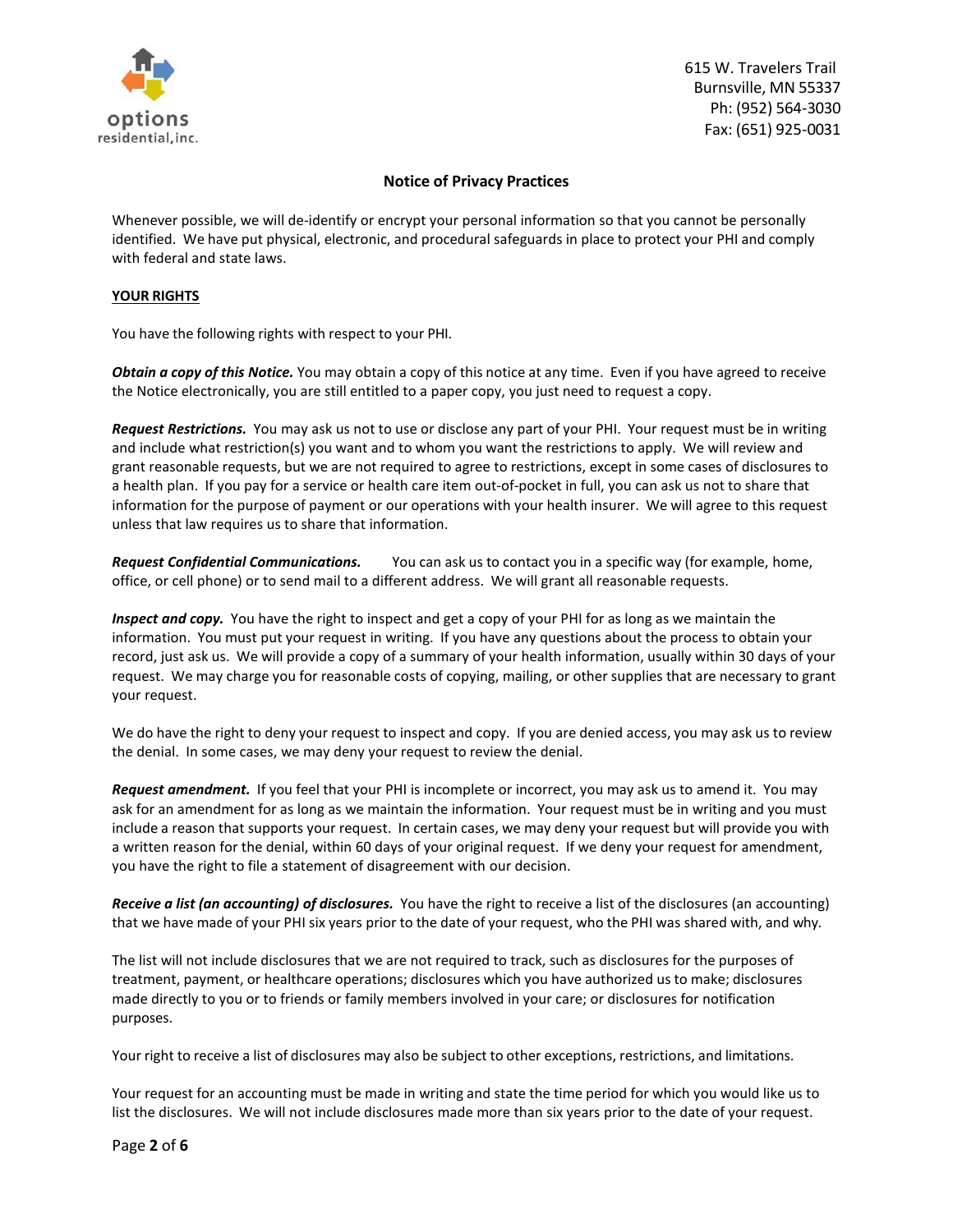

## **Notice of Privacy Practices**

Whenever possible, we will de-identify or encrypt your personal information so that you cannot be personally identified. We have put physical, electronic, and procedural safeguards in place to protect your PHI and comply with federal and state laws.

### **YOUR RIGHTS**

You have the following rights with respect to your PHI.

*Obtain a copy of this Notice.* You may obtain a copy of this notice at any time. Even if you have agreed to receive the Notice electronically, you are still entitled to a paper copy, you just need to request a copy.

*Request Restrictions.* You may ask us not to use or disclose any part of your PHI. Your request must be in writing and include what restriction(s) you want and to whom you want the restrictions to apply. We will review and grant reasonable requests, but we are not required to agree to restrictions, except in some cases of disclosures to a health plan. If you pay for a service or health care item out-of-pocket in full, you can ask us not to share that information for the purpose of payment or our operations with your health insurer. We will agree to this request unless that law requires us to share that information.

*Request Confidential Communications.* You can ask us to contact you in a specific way (for example, home, office, or cell phone) or to send mail to a different address. We will grant all reasonable requests.

*Inspect and copy.* You have the right to inspect and get a copy of your PHI for as long as we maintain the information. You must put your request in writing. If you have any questions about the process to obtain your record, just ask us. We will provide a copy of a summary of your health information, usually within 30 days of your request. We may charge you for reasonable costs of copying, mailing, or other supplies that are necessary to grant your request.

We do have the right to deny your request to inspect and copy. If you are denied access, you may ask us to review the denial. In some cases, we may deny your request to review the denial.

*Request amendment.* If you feel that your PHI is incomplete or incorrect, you may ask us to amend it. You may ask for an amendment for as long as we maintain the information. Your request must be in writing and you must include a reason that supports your request. In certain cases, we may deny your request but will provide you with a written reason for the denial, within 60 days of your original request. If we deny your request for amendment, you have the right to file a statement of disagreement with our decision.

*Receive a list (an accounting) of disclosures.* You have the right to receive a list of the disclosures (an accounting) that we have made of your PHI six years prior to the date of your request, who the PHI was shared with, and why.

The list will not include disclosures that we are not required to track, such as disclosures for the purposes of treatment, payment, or healthcare operations; disclosures which you have authorized us to make; disclosures made directly to you or to friends or family members involved in your care; or disclosures for notification purposes.

Your right to receive a list of disclosures may also be subject to other exceptions, restrictions, and limitations.

Your request for an accounting must be made in writing and state the time period for which you would like us to list the disclosures. We will not include disclosures made more than six years prior to the date of your request.

Page **2** of **6**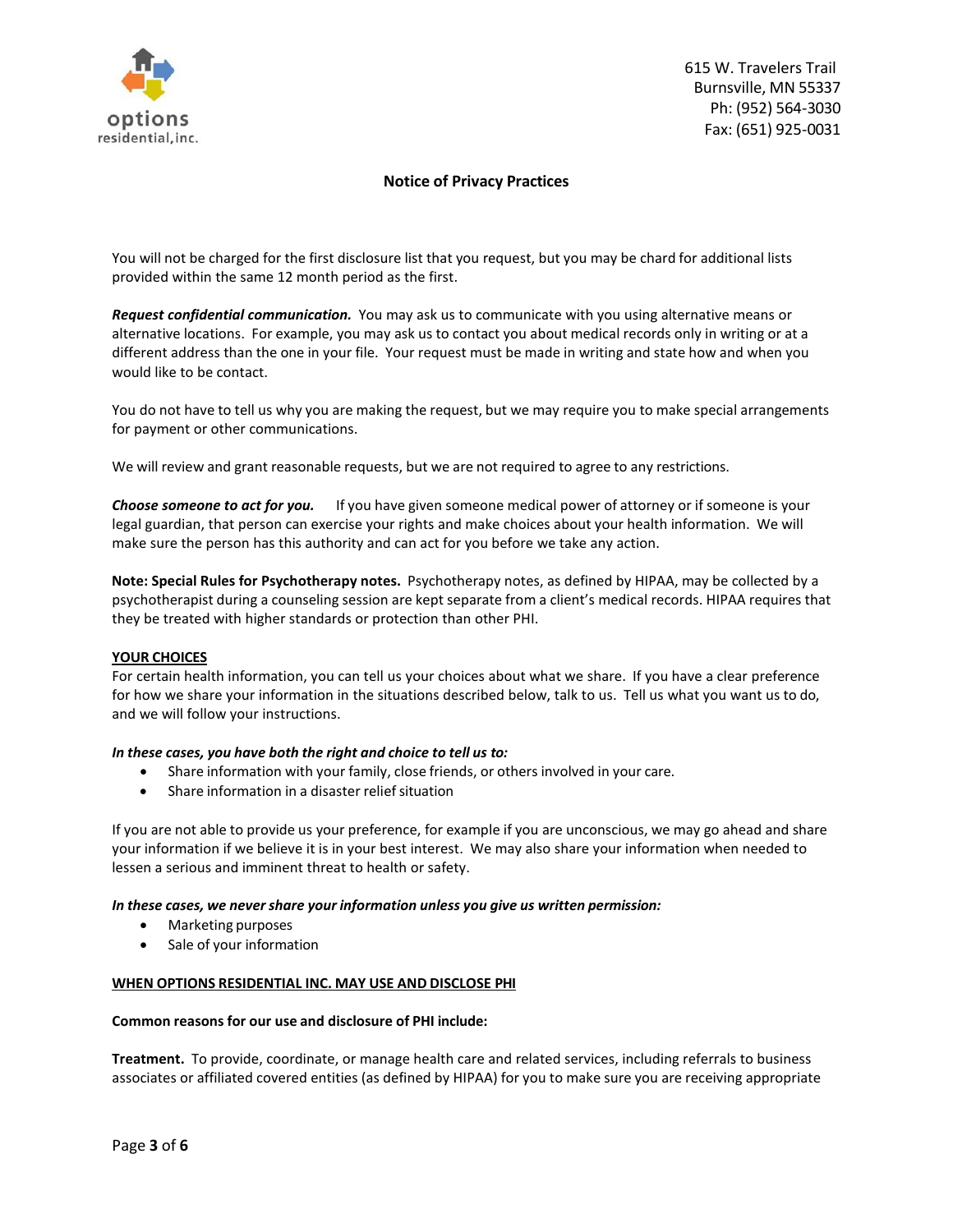

# **Notice of Privacy Practices**

You will not be charged for the first disclosure list that you request, but you may be chard for additional lists provided within the same 12 month period as the first.

*Request confidential communication.* You may ask us to communicate with you using alternative means or alternative locations. For example, you may ask us to contact you about medical records only in writing or at a different address than the one in your file. Your request must be made in writing and state how and when you would like to be contact.

You do not have to tell us why you are making the request, but we may require you to make special arrangements for payment or other communications.

We will review and grant reasonable requests, but we are not required to agree to any restrictions.

*Choose someone to act for you.* If you have given someone medical power of attorney or if someone is your legal guardian, that person can exercise your rights and make choices about your health information. We will make sure the person has this authority and can act for you before we take any action.

**Note: Special Rules for Psychotherapy notes.** Psychotherapy notes, as defined by HIPAA, may be collected by a psychotherapist during a counseling session are kept separate from a client's medical records. HIPAA requires that they be treated with higher standards or protection than other PHI.

#### **YOUR CHOICES**

For certain health information, you can tell us your choices about what we share. If you have a clear preference for how we share your information in the situations described below, talk to us. Tell us what you want us to do, and we will follow your instructions.

#### *In these cases, you have both the right and choice to tell us to:*

- Share information with your family, close friends, or others involved in your care.
- Share information in a disaster relief situation

If you are not able to provide us your preference, for example if you are unconscious, we may go ahead and share your information if we believe it is in your best interest. We may also share your information when needed to lessen a serious and imminent threat to health or safety.

#### *In these cases, we nevershare your information unless you give us written permission:*

- Marketing purposes
- Sale of your information

#### **WHEN OPTIONS RESIDENTIAL INC. MAY USE AND DISCLOSE PHI**

#### **Common reasons for our use and disclosure of PHI include:**

**Treatment.** To provide, coordinate, or manage health care and related services, including referrals to business associates or affiliated covered entities (as defined by HIPAA) for you to make sure you are receiving appropriate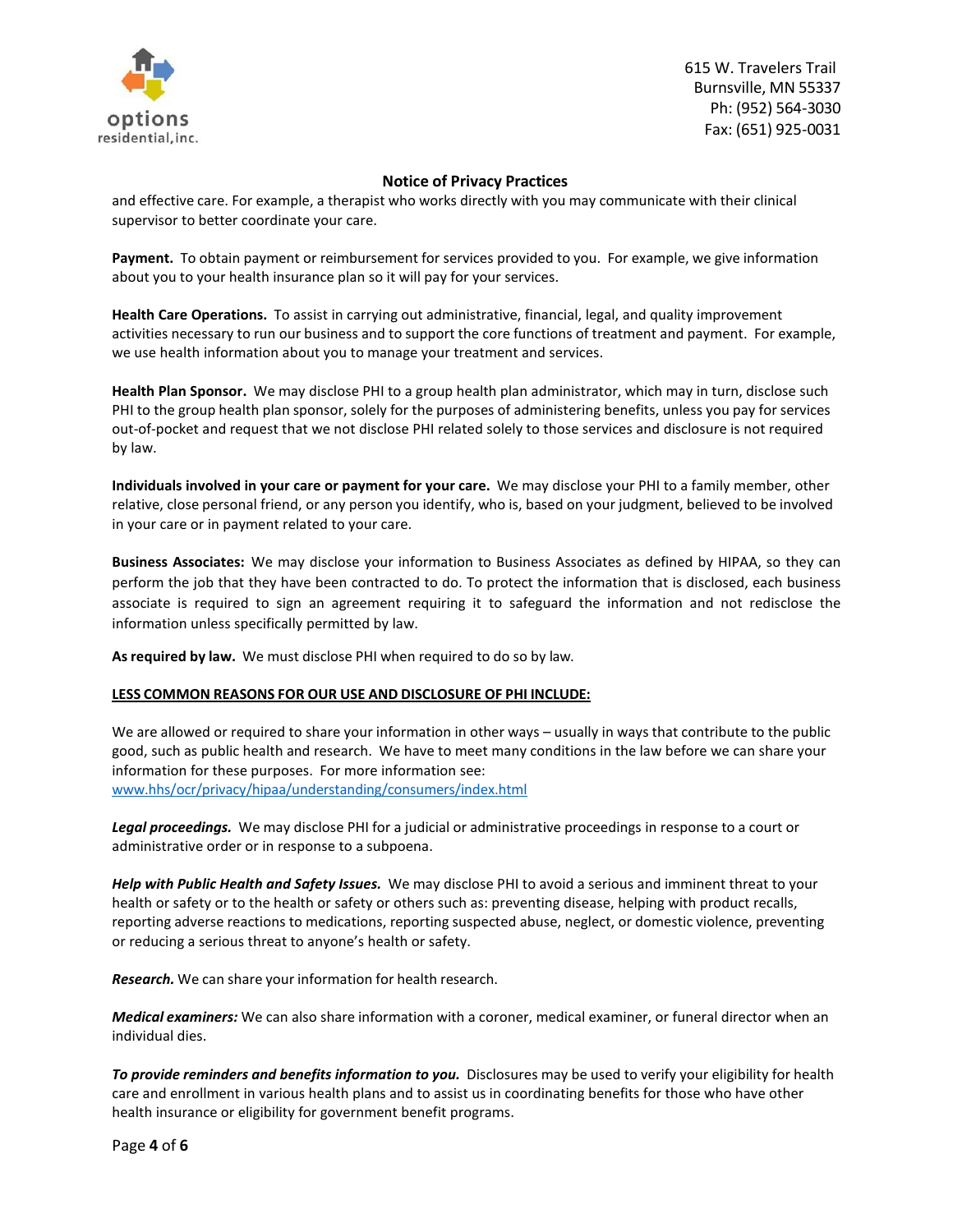

# **Notice of Privacy Practices**

and effective care. For example, a therapist who works directly with you may communicate with their clinical supervisor to better coordinate your care.

**Payment.** To obtain payment or reimbursement for services provided to you. For example, we give information about you to your health insurance plan so it will pay for your services.

**Health Care Operations.** To assist in carrying out administrative, financial, legal, and quality improvement activities necessary to run our business and to support the core functions of treatment and payment. For example, we use health information about you to manage your treatment and services.

**Health Plan Sponsor.** We may disclose PHI to a group health plan administrator, which may in turn, disclose such PHI to the group health plan sponsor, solely for the purposes of administering benefits, unless you pay for services out-of-pocket and request that we not disclose PHI related solely to those services and disclosure is not required by law.

**Individuals involved in your care or payment for your care.** We may disclose your PHI to a family member, other relative, close personal friend, or any person you identify, who is, based on your judgment, believed to be involved in your care or in payment related to your care.

**Business Associates:** We may disclose your information to Business Associates as defined by HIPAA, so they can perform the job that they have been contracted to do. To protect the information that is disclosed, each business associate is required to sign an agreement requiring it to safeguard the information and not redisclose the information unless specifically permitted by law.

**As required by law.** We must disclose PHI when required to do so by law.

## **LESS COMMON REASONS FOR OUR USE AND DISCLOSURE OF PHI INCLUDE:**

We are allowed or required to share your information in other ways – usually in ways that contribute to the public good, such as public health and research. We have to meet many conditions in the law before we can share your information for these purposes. For more information see: www.hhs/ocr/privacy/hipaa/understanding/consumers/index.html

*Legal proceedings.* We may disclose PHI for a judicial or administrative proceedings in response to a court or administrative order or in response to a subpoena.

*Help with Public Health and Safety Issues.* We may disclose PHI to avoid a serious and imminent threat to your health or safety or to the health or safety or others such as: preventing disease, helping with product recalls, reporting adverse reactions to medications, reporting suspected abuse, neglect, or domestic violence, preventing or reducing a serious threat to anyone's health or safety.

*Research.* We can share your information for health research.

*Medical examiners:* We can also share information with a coroner, medical examiner, or funeral director when an individual dies.

*To provide reminders and benefits information to you.* Disclosures may be used to verify your eligibility for health care and enrollment in various health plans and to assist us in coordinating benefits for those who have other health insurance or eligibility for government benefit programs.

Page **4** of **6**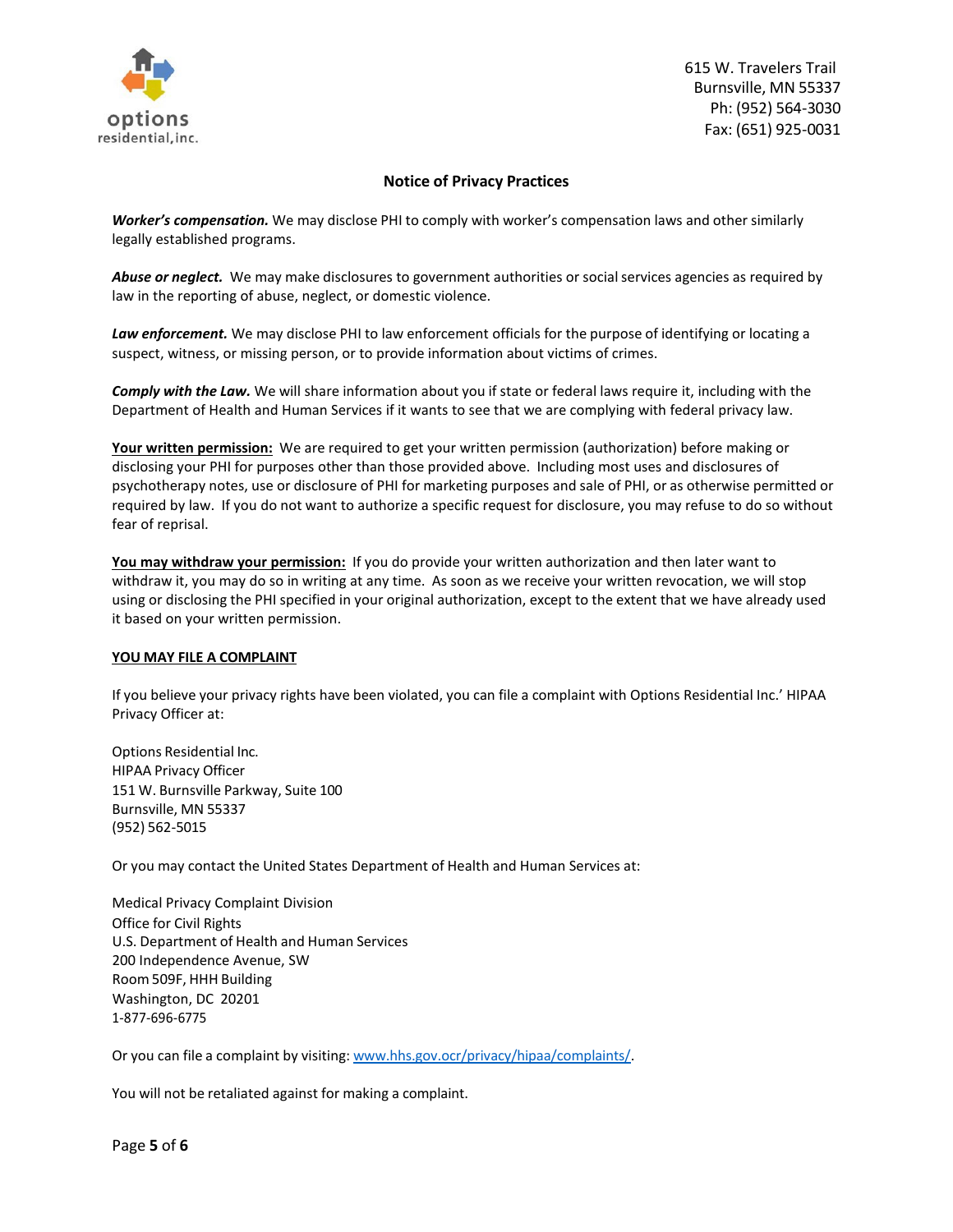

# **Notice of Privacy Practices**

*Worker's compensation.* We may disclose PHI to comply with worker's compensation laws and other similarly legally established programs.

Abuse or neglect. We may make disclosures to government authorities or social services agencies as required by law in the reporting of abuse, neglect, or domestic violence.

*Law enforcement.* We may disclose PHI to law enforcement officials for the purpose of identifying or locating a suspect, witness, or missing person, or to provide information about victims of crimes.

*Comply with the Law.* We will share information about you if state or federal laws require it, including with the Department of Health and Human Services if it wants to see that we are complying with federal privacy law.

**Your written permission:** We are required to get your written permission (authorization) before making or disclosing your PHI for purposes other than those provided above. Including most uses and disclosures of psychotherapy notes, use or disclosure of PHI for marketing purposes and sale of PHI, or as otherwise permitted or required by law. If you do not want to authorize a specific request for disclosure, you may refuse to do so without fear of reprisal.

**You may withdraw your permission:** If you do provide your written authorization and then later want to withdraw it, you may do so in writing at any time. As soon as we receive your written revocation, we will stop using or disclosing the PHI specified in your original authorization, except to the extent that we have already used it based on your written permission.

#### **YOU MAY FILE A COMPLAINT**

If you believe your privacy rights have been violated, you can file a complaint with Options Residential Inc.' HIPAA Privacy Officer at:

Options Residential Inc. HIPAA Privacy Officer 151 W. Burnsville Parkway, Suite 100 Burnsville, MN 55337 (952) 562-5015

Or you may contact the United States Department of Health and Human Services at:

Medical Privacy Complaint Division Office for Civil Rights U.S. Department of Health and Human Services 200 Independence Avenue, SW Room 509F, HHH Building Washington, DC 20201 1-877-696-6775

Or you can file a complaint by visiting: [www.hhs.gov.ocr/privacy/hipaa/complaints/.](http://www.hhs.gov.ocr/privacy/hipaa/complaints/)

You will not be retaliated against for making a complaint.